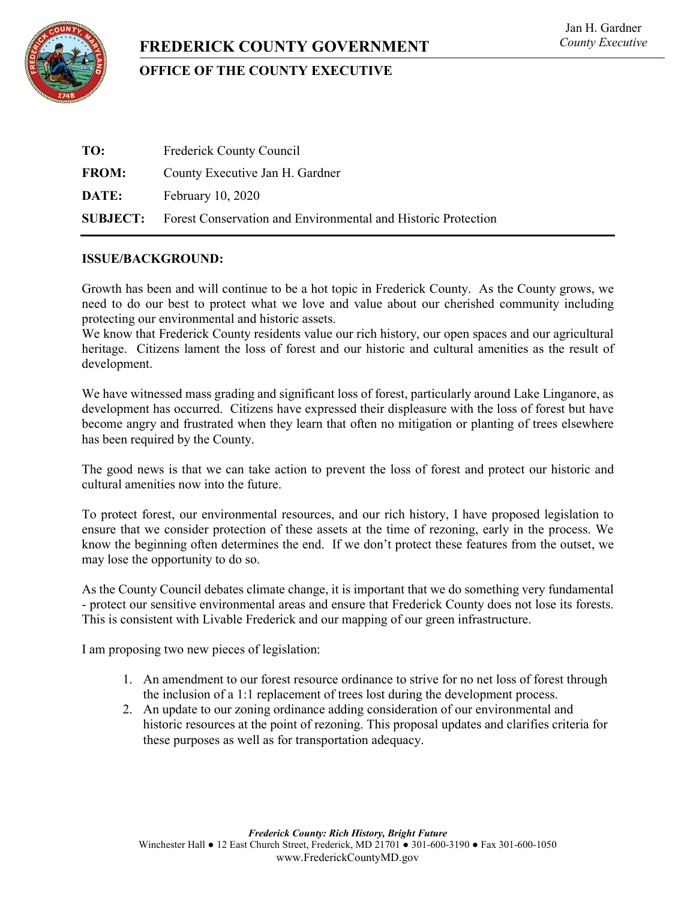

# **FREDERICK COUNTY GOVERNMENT**

# **OFFICE OF THE COUNTY EXECUTIVE**

| TO:          | Frederick County Council                                                      |
|--------------|-------------------------------------------------------------------------------|
| <b>FROM:</b> | County Executive Jan H. Gardner                                               |
| DATE:        | February 10, 2020                                                             |
|              | <b>SUBJECT:</b> Forest Conservation and Environmental and Historic Protection |

# **ISSUE/BACKGROUND:**

Growth has been and will continue to be a hot topic in Frederick County. As the County grows, we need to do our best to protect what we love and value about our cherished community including protecting our environmental and historic assets.

We know that Frederick County residents value our rich history, our open spaces and our agricultural heritage. Citizens lament the loss of forest and our historic and cultural amenities as the result of development.

We have witnessed mass grading and significant loss of forest, particularly around Lake Linganore, as development has occurred. Citizens have expressed their displeasure with the loss of forest but have become angry and frustrated when they learn that often no mitigation or planting of trees elsewhere has been required by the County.

The good news is that we can take action to prevent the loss of forest and protect our historic and cultural amenities now into the future.

To protect forest, our environmental resources, and our rich history, I have proposed legislation to ensure that we consider protection of these assets at the time of rezoning, early in the process. We know the beginning often determines the end. If we don't protect these features from the outset, we may lose the opportunity to do so.

As the County Council debates climate change, it is important that we do something very fundamental - protect our sensitive environmental areas and ensure that Frederick County does not lose its forests. This is consistent with Livable Frederick and our mapping of our green infrastructure.

I am proposing two new pieces of legislation:

- 1. An amendment to our forest resource ordinance to strive for no net loss of forest through the inclusion of a 1:1 replacement of trees lost during the development process.
- 2. An update to our zoning ordinance adding consideration of our environmental and historic resources at the point of rezoning. This proposal updates and clarifies criteria for these purposes as well as for transportation adequacy.